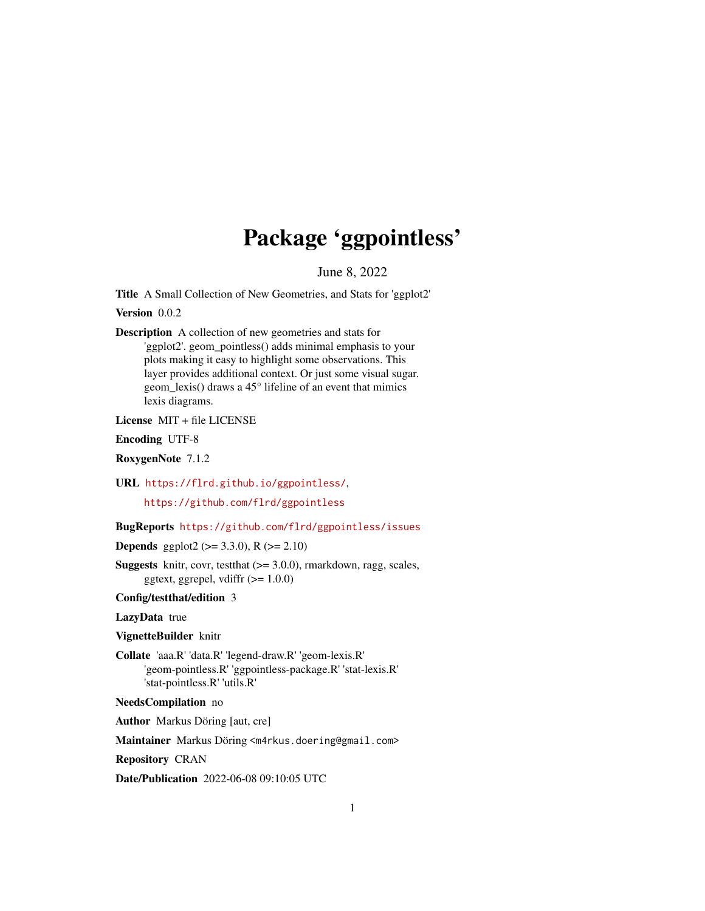## Package 'ggpointless'

June 8, 2022

<span id="page-0-0"></span>Title A Small Collection of New Geometries, and Stats for 'ggplot2'

Version 0.0.2

Description A collection of new geometries and stats for 'ggplot2'. geom\_pointless() adds minimal emphasis to your plots making it easy to highlight some observations. This layer provides additional context. Or just some visual sugar. geom\_lexis() draws a 45° lifeline of an event that mimics lexis diagrams.

License MIT + file LICENSE

Encoding UTF-8

RoxygenNote 7.1.2

URL <https://flrd.github.io/ggpointless/>,

<https://github.com/flrd/ggpointless>

#### BugReports <https://github.com/flrd/ggpointless/issues>

**Depends** ggplot2 ( $>= 3.3.0$ ), R ( $>= 2.10$ )

**Suggests** knitr, covr, test that  $(>= 3.0.0)$ , rmarkdown, ragg, scales, ggtext, ggrepel, vdiffr  $(>= 1.0.0)$ 

Config/testthat/edition 3

LazyData true

VignetteBuilder knitr

Collate 'aaa.R' 'data.R' 'legend-draw.R' 'geom-lexis.R' 'geom-pointless.R' 'ggpointless-package.R' 'stat-lexis.R' 'stat-pointless.R' 'utils.R'

NeedsCompilation no

Author Markus Döring [aut, cre]

Maintainer Markus Döring <m4rkus.doering@gmail.com>

Repository CRAN

Date/Publication 2022-06-08 09:10:05 UTC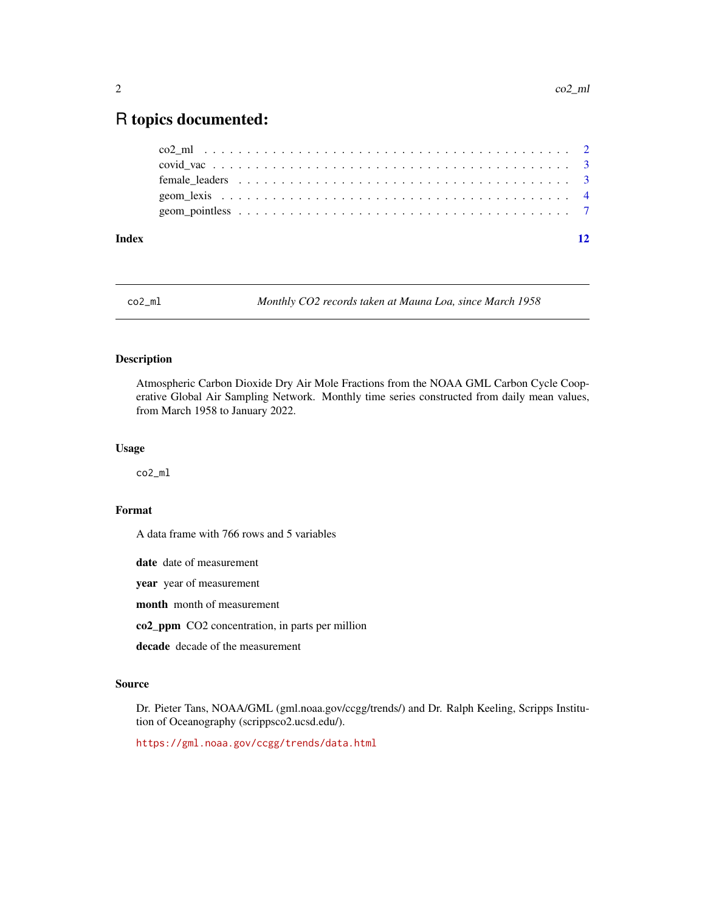### <span id="page-1-0"></span>R topics documented:

| Index |  |  |  |  |  |  |  |  |  |  |  |  |  |  |  |  |  |  |
|-------|--|--|--|--|--|--|--|--|--|--|--|--|--|--|--|--|--|--|
|       |  |  |  |  |  |  |  |  |  |  |  |  |  |  |  |  |  |  |
|       |  |  |  |  |  |  |  |  |  |  |  |  |  |  |  |  |  |  |
|       |  |  |  |  |  |  |  |  |  |  |  |  |  |  |  |  |  |  |
|       |  |  |  |  |  |  |  |  |  |  |  |  |  |  |  |  |  |  |
|       |  |  |  |  |  |  |  |  |  |  |  |  |  |  |  |  |  |  |

co2\_ml *Monthly CO2 records taken at Mauna Loa, since March 1958*

#### Description

Atmospheric Carbon Dioxide Dry Air Mole Fractions from the NOAA GML Carbon Cycle Cooperative Global Air Sampling Network. Monthly time series constructed from daily mean values, from March 1958 to January 2022.

#### Usage

co2\_ml

#### Format

A data frame with 766 rows and 5 variables

date date of measurement

year year of measurement

month month of measurement

co2\_ppm CO2 concentration, in parts per million

decade decade of the measurement

#### Source

Dr. Pieter Tans, NOAA/GML (gml.noaa.gov/ccgg/trends/) and Dr. Ralph Keeling, Scripps Institution of Oceanography (scrippsco2.ucsd.edu/).

<https://gml.noaa.gov/ccgg/trends/data.html>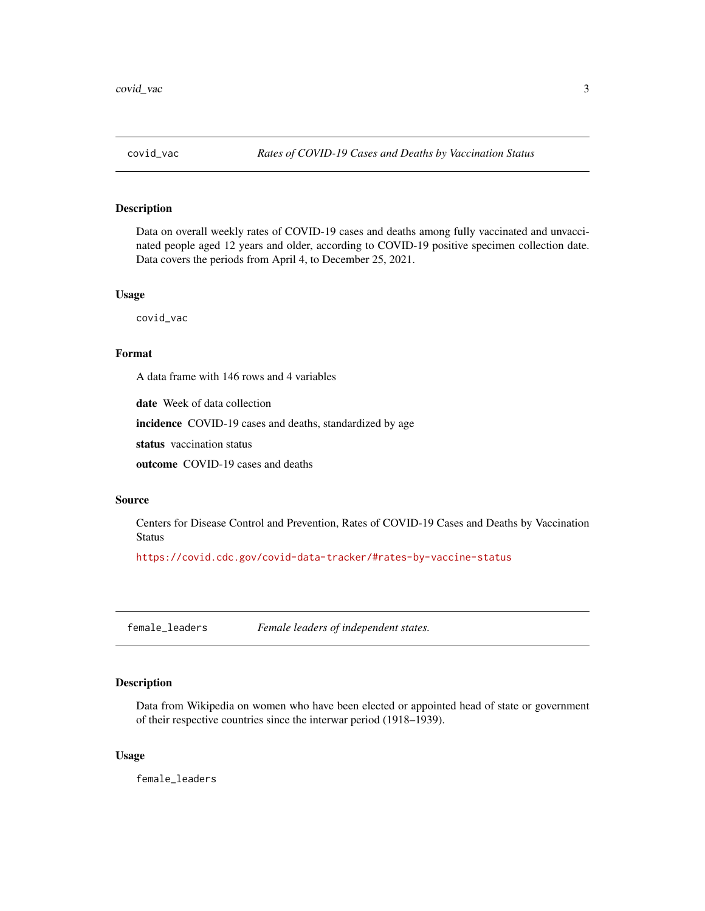<span id="page-2-0"></span>

#### Description

Data on overall weekly rates of COVID-19 cases and deaths among fully vaccinated and unvaccinated people aged 12 years and older, according to COVID-19 positive specimen collection date. Data covers the periods from April 4, to December 25, 2021.

#### Usage

covid\_vac

#### Format

A data frame with 146 rows and 4 variables

date Week of data collection

incidence COVID-19 cases and deaths, standardized by age

status vaccination status

outcome COVID-19 cases and deaths

#### Source

Centers for Disease Control and Prevention, Rates of COVID-19 Cases and Deaths by Vaccination Status

<https://covid.cdc.gov/covid-data-tracker/#rates-by-vaccine-status>

female\_leaders *Female leaders of independent states.*

#### Description

Data from Wikipedia on women who have been elected or appointed head of state or government of their respective countries since the interwar period (1918–1939).

#### Usage

female\_leaders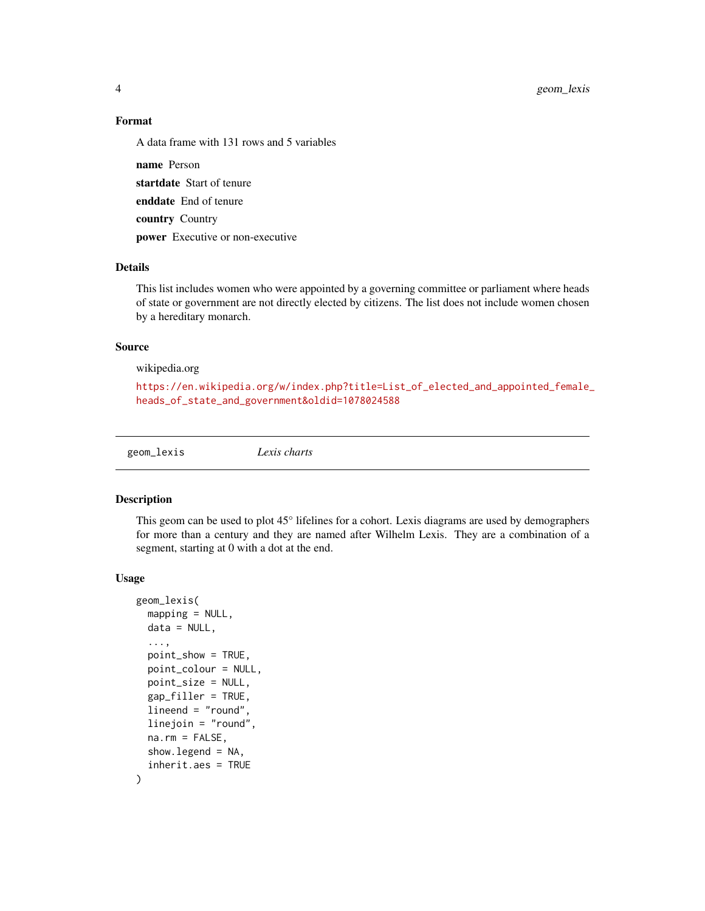<span id="page-3-0"></span>4 geom\_lexis

#### Format

A data frame with 131 rows and 5 variables

name Person startdate Start of tenure enddate End of tenure country Country power Executive or non-executive

#### Details

This list includes women who were appointed by a governing committee or parliament where heads of state or government are not directly elected by citizens. The list does not include women chosen by a hereditary monarch.

#### Source

wikipedia.org

```
https://en.wikipedia.org/w/index.php?title=List_of_elected_and_appointed_female_
heads_of_state_and_government&oldid=1078024588
```
geom\_lexis *Lexis charts*

#### Description

This geom can be used to plot 45° lifelines for a cohort. Lexis diagrams are used by demographers for more than a century and they are named after Wilhelm Lexis. They are a combination of a segment, starting at 0 with a dot at the end.

#### Usage

```
geom_lexis(
 mapping = NULL,
  data = NULL,
  ...,
  point_show = TRUE,
  point_colour = NULL,
  point_size = NULL,
  gap_filler = TRUE,
  lineend = "round",
  linejoin = "round",
  na.rm = FALSE,show. legend = NA,
  inherit.aes = TRUE
)
```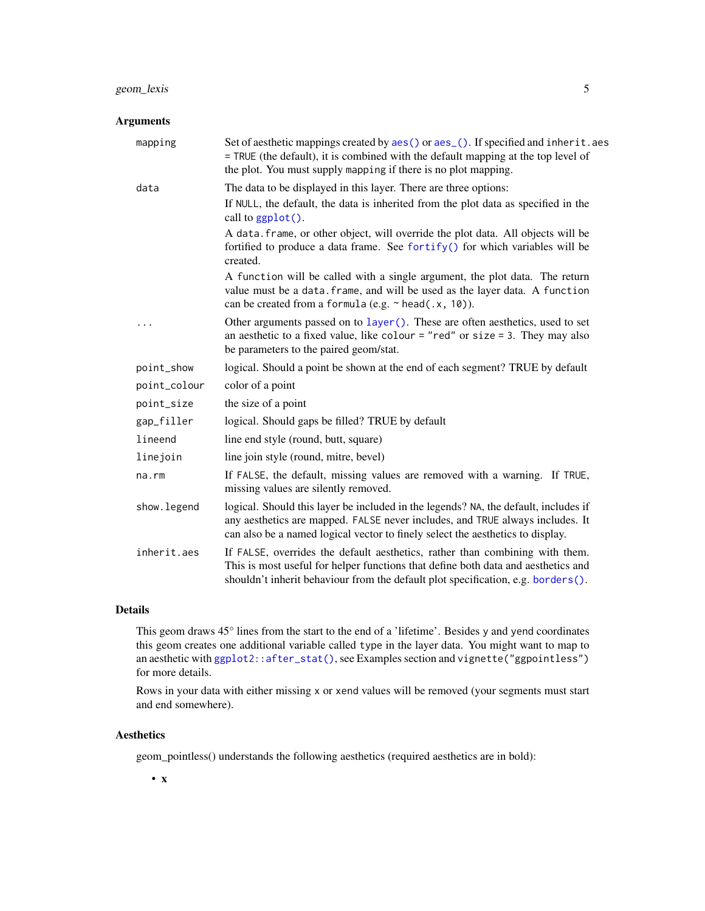#### <span id="page-4-0"></span>Arguments

| mapping      | Set of aesthetic mappings created by aes() or aes_(). If specified and inherit.aes<br>= TRUE (the default), it is combined with the default mapping at the top level of<br>the plot. You must supply mapping if there is no plot mapping.              |
|--------------|--------------------------------------------------------------------------------------------------------------------------------------------------------------------------------------------------------------------------------------------------------|
| data         | The data to be displayed in this layer. There are three options:<br>If NULL, the default, the data is inherited from the plot data as specified in the                                                                                                 |
|              | call to ggplot().                                                                                                                                                                                                                                      |
|              | A data. frame, or other object, will override the plot data. All objects will be<br>fortified to produce a data frame. See fortify() for which variables will be<br>created.                                                                           |
|              | A function will be called with a single argument, the plot data. The return<br>value must be a data. frame, and will be used as the layer data. A function<br>can be created from a formula (e.g. $\sim$ head(.x, 10)).                                |
| .            | Other arguments passed on to layer (). These are often aesthetics, used to set<br>an aesthetic to a fixed value, like colour = "red" or size = 3. They may also<br>be parameters to the paired geom/stat.                                              |
| point_show   | logical. Should a point be shown at the end of each segment? TRUE by default                                                                                                                                                                           |
| point_colour | color of a point                                                                                                                                                                                                                                       |
| point_size   | the size of a point                                                                                                                                                                                                                                    |
| gap_filler   | logical. Should gaps be filled? TRUE by default                                                                                                                                                                                                        |
| lineend      | line end style (round, butt, square)                                                                                                                                                                                                                   |
| linejoin     | line join style (round, mitre, bevel)                                                                                                                                                                                                                  |
| na.rm        | If FALSE, the default, missing values are removed with a warning. If TRUE,<br>missing values are silently removed.                                                                                                                                     |
| show.legend  | logical. Should this layer be included in the legends? NA, the default, includes if<br>any aesthetics are mapped. FALSE never includes, and TRUE always includes. It<br>can also be a named logical vector to finely select the aesthetics to display. |
| inherit.aes  | If FALSE, overrides the default aesthetics, rather than combining with them.<br>This is most useful for helper functions that define both data and aesthetics and<br>shouldn't inherit behaviour from the default plot specification, e.g. borders().  |

#### Details

This geom draws 45° lines from the start to the end of a 'lifetime'. Besides y and yend coordinates this geom creates one additional variable called type in the layer data. You might want to map to an aesthetic with [ggplot2::after\\_stat\(\)](#page-0-0), see Examples section and vignette("ggpointless") for more details.

Rows in your data with either missing x or xend values will be removed (your segments must start and end somewhere).

#### Aesthetics

geom\_pointless() understands the following aesthetics (required aesthetics are in bold):

• x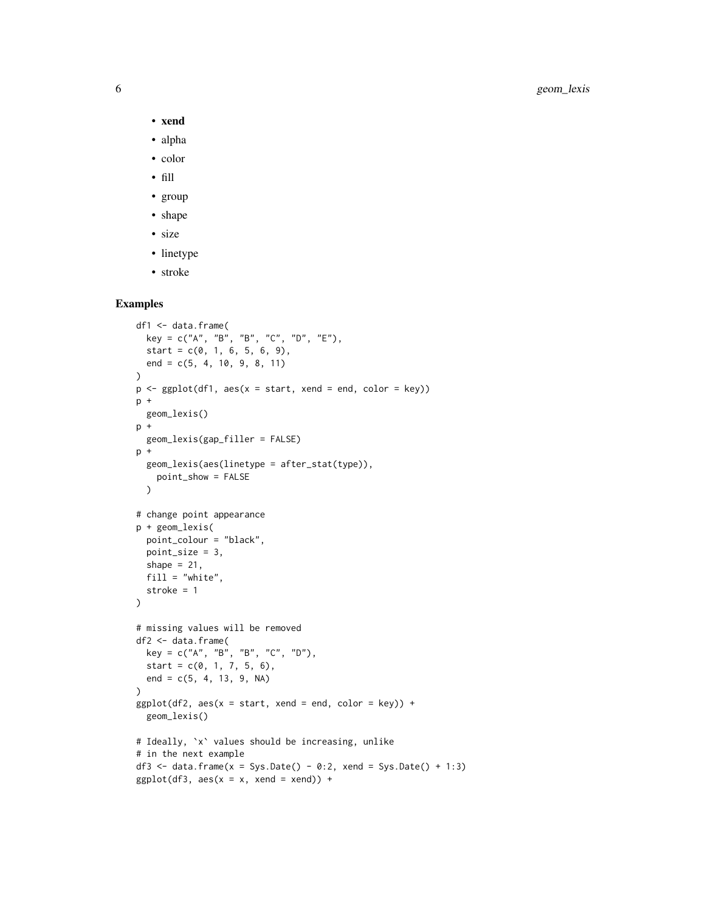- xend
- alpha
- color
- fill
- group
- shape
- size
- linetype
- stroke

#### Examples

```
df1 <- data.frame(
  key = c("A", "B", "B", "C", "D", "E"),
  start = c(0, 1, 6, 5, 6, 9),end = c(5, 4, 10, 9, 8, 11)\mathcal{L}p \leftarrow \text{ggplot}(df1, \text{aes}(x = start, \text{xend} = end, \text{color} = key))p +
  geom_lexis()
p +
  geom_lexis(gap_filler = FALSE)
p +geom_lexis(aes(linetype = after_stat(type)),
    point_show = FALSE
  )
# change point appearance
p + geom_lexis(
  point_colour = "black",
  point_size = 3,
  shape = 21,
  fill = "white",
  stroke = 1
)
# missing values will be removed
df2 <- data.frame(
  key = c("A", "B", "B", "C", "D"),
  start = c(0, 1, 7, 5, 6),
  end = c(5, 4, 13, 9, NA)\lambdaggplot(df2, aes(x = start, xend = end, color = key)) +geom_lexis()
# Ideally, `x` values should be increasing, unlike
# in the next example
df3 <- data.frame(x = Sys.Date() - 0:2, xend = Sys.Date() + 1:3)
ggplot(df3, aes(x = x, xend = xend)) +
```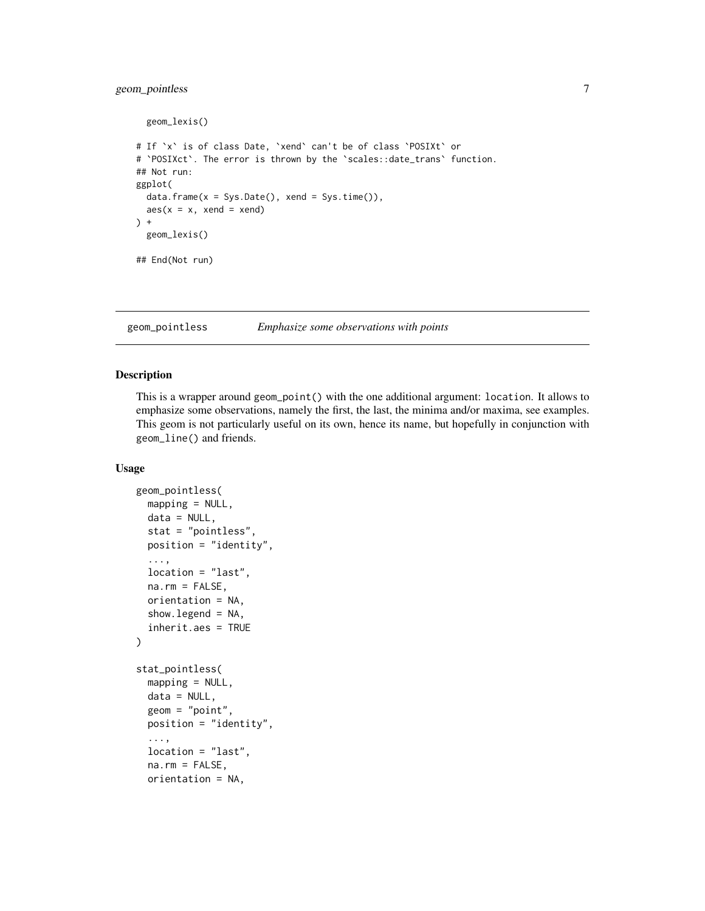#### <span id="page-6-0"></span>geom\_pointless 7

```
geom_lexis()
# If `x` is of class Date, `xend` can't be of class `POSIXt` or
# `POSIXct`. The error is thrown by the `scales::date_trans` function.
## Not run:
ggplot(
  data.frame(x = Sys.Date(), xend = Sys.time()),
  aes(x = x, xend = xend)) +geom_lexis()
## End(Not run)
```
geom\_pointless *Emphasize some observations with points*

#### Description

This is a wrapper around geom\_point() with the one additional argument: location. It allows to emphasize some observations, namely the first, the last, the minima and/or maxima, see examples. This geom is not particularly useful on its own, hence its name, but hopefully in conjunction with geom\_line() and friends.

#### Usage

```
geom_pointless(
 mapping = NULL,data = NULL,stat = "pointless",
 position = "identity",
  ...,
 location = "last",
 na.rm = FALSE,orientation = NA,
  show.legend = NA,
  inherit.aes = TRUE
)
stat_pointless(
 mapping = NULL,
 data = NULL,geom = "point",
 position = "identity",
  ...,
  location = "last",
  na.rm = FALSE,orientation = NA,
```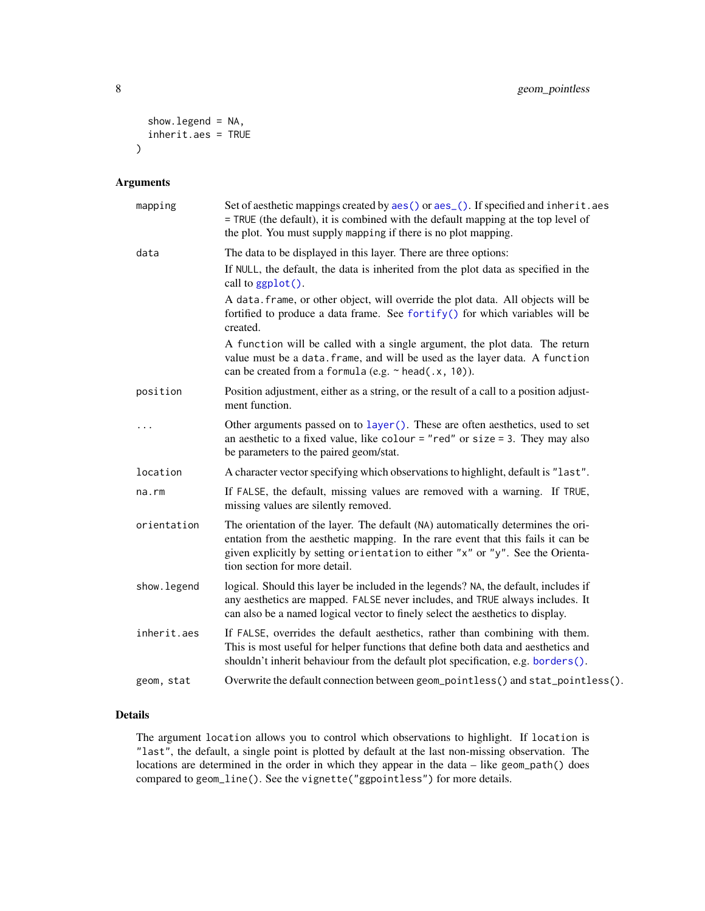```
show.legend = NA,
  inherit.aes = TRUE
\mathcal{L}
```
#### Arguments

| mapping     | Set of aesthetic mappings created by aes() or aes_(). If specified and inherit.aes<br>= TRUE (the default), it is combined with the default mapping at the top level of<br>the plot. You must supply mapping if there is no plot mapping.                                               |
|-------------|-----------------------------------------------------------------------------------------------------------------------------------------------------------------------------------------------------------------------------------------------------------------------------------------|
| data        | The data to be displayed in this layer. There are three options:                                                                                                                                                                                                                        |
|             | If NULL, the default, the data is inherited from the plot data as specified in the<br>call to ggplot().                                                                                                                                                                                 |
|             | A data. frame, or other object, will override the plot data. All objects will be<br>fortified to produce a data frame. See fortify() for which variables will be<br>created.                                                                                                            |
|             | A function will be called with a single argument, the plot data. The return<br>value must be a data. frame, and will be used as the layer data. A function<br>can be created from a formula (e.g. $\sim$ head(.x, 10)).                                                                 |
| position    | Position adjustment, either as a string, or the result of a call to a position adjust-<br>ment function.                                                                                                                                                                                |
| .           | Other arguments passed on to layer (). These are often aesthetics, used to set<br>an aesthetic to a fixed value, like colour = "red" or size = 3. They may also<br>be parameters to the paired geom/stat.                                                                               |
| location    | A character vector specifying which observations to highlight, default is "last".                                                                                                                                                                                                       |
| $na$ . $rm$ | If FALSE, the default, missing values are removed with a warning. If TRUE,<br>missing values are silently removed.                                                                                                                                                                      |
| orientation | The orientation of the layer. The default (NA) automatically determines the ori-<br>entation from the aesthetic mapping. In the rare event that this fails it can be<br>given explicitly by setting orientation to either "x" or "y". See the Orienta-<br>tion section for more detail. |
| show.legend | logical. Should this layer be included in the legends? NA, the default, includes if<br>any aesthetics are mapped. FALSE never includes, and TRUE always includes. It<br>can also be a named logical vector to finely select the aesthetics to display.                                  |
| inherit.aes | If FALSE, overrides the default aesthetics, rather than combining with them.<br>This is most useful for helper functions that define both data and aesthetics and<br>shouldn't inherit behaviour from the default plot specification, e.g. borders().                                   |
| geom, stat  | Overwrite the default connection between geom_pointless() and stat_pointless().                                                                                                                                                                                                         |

#### Details

The argument location allows you to control which observations to highlight. If location is "last", the default, a single point is plotted by default at the last non-missing observation. The locations are determined in the order in which they appear in the data – like geom\_path() does compared to geom\_line(). See the vignette("ggpointless") for more details.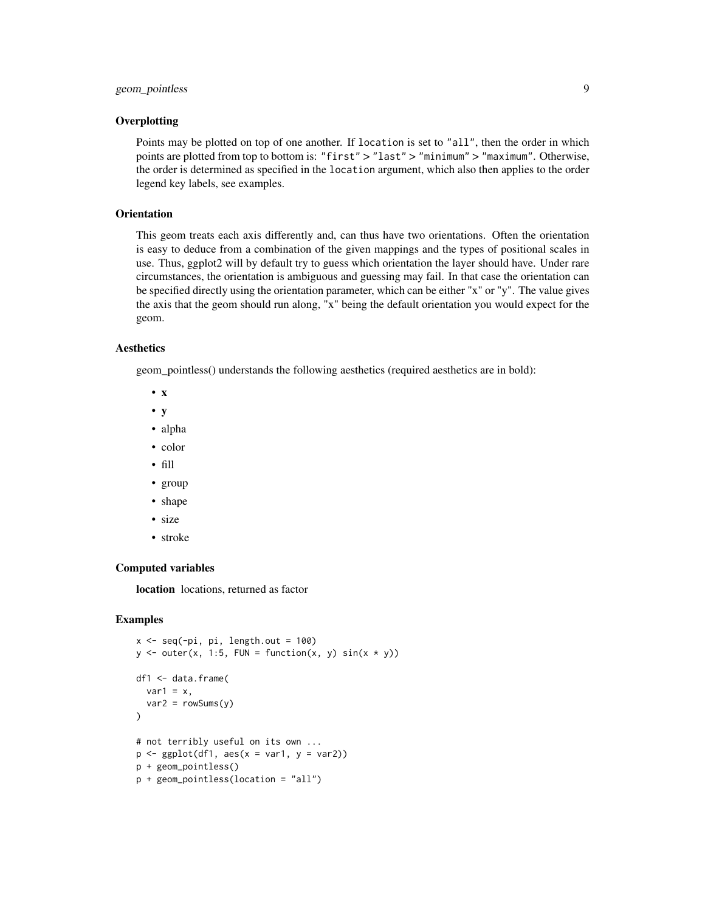#### **Overplotting**

Points may be plotted on top of one another. If location is set to "all", then the order in which points are plotted from top to bottom is: "first" > "last" > "minimum" > "maximum". Otherwise, the order is determined as specified in the location argument, which also then applies to the order legend key labels, see examples.

#### **Orientation**

This geom treats each axis differently and, can thus have two orientations. Often the orientation is easy to deduce from a combination of the given mappings and the types of positional scales in use. Thus, ggplot2 will by default try to guess which orientation the layer should have. Under rare circumstances, the orientation is ambiguous and guessing may fail. In that case the orientation can be specified directly using the orientation parameter, which can be either "x" or "y". The value gives the axis that the geom should run along, "x" being the default orientation you would expect for the geom.

#### Aesthetics

geom\_pointless() understands the following aesthetics (required aesthetics are in bold):

- x
- y
- alpha
- color
- fill
- group
- shape
- size
- stroke

#### Computed variables

location locations, returned as factor

#### Examples

```
x \leq -\text{seq}(-\text{pi}, \text{pi}, \text{length.out} = 100)y \le - outer(x, 1:5, FUN = function(x, y) sin(x * y))
df1 <- data.frame(
  var1 = x,
  var2 = rowsums(y))
# not terribly useful on its own ...
p \leftarrow \text{ggplot}(df1, \text{aes}(x = \text{var1}, y = \text{var2}))p + geom_pointless()
p + geom_pointless(location = "all")
```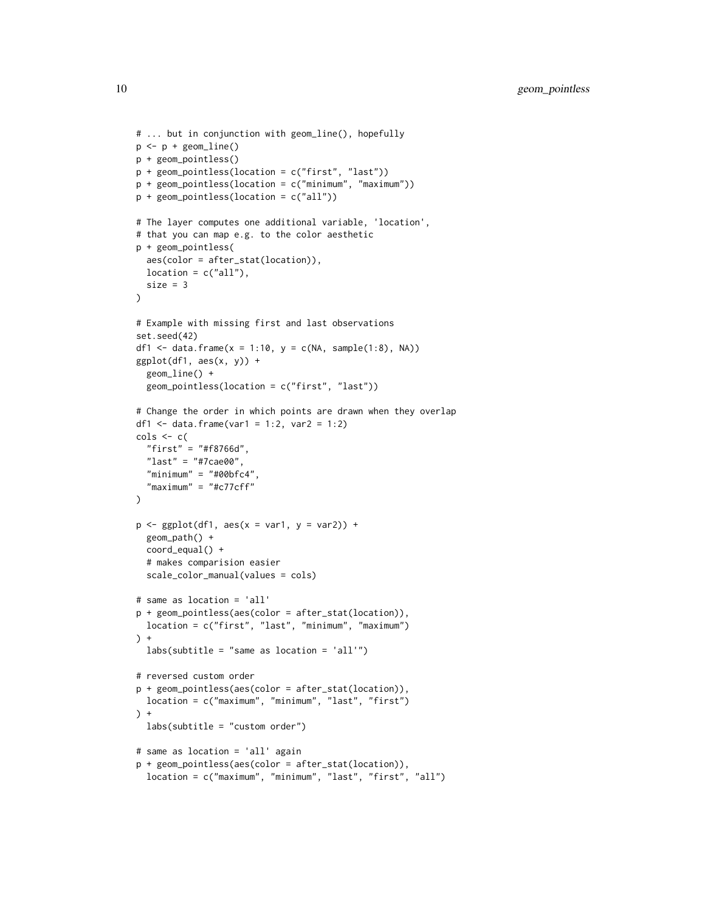```
# ... but in conjunction with geom_line(), hopefully
p <- p + geom_line()
p + geom_pointless()
p + geom_pointless(location = c("first", "last"))
p + geom_pointless(location = c("minimum", "maximum"))
p + geom_pointless(location = c("all"))
# The layer computes one additional variable, 'location',
# that you can map e.g. to the color aesthetic
p + geom_pointless(
  aes(color = after_stat(location)),
  location = c("all"),size = 3)
# Example with missing first and last observations
set.seed(42)
df1 <- data.frame(x = 1:10, y = c(NA, sample(1:8), NA))
ggplot(df1, aes(x, y)) +geom_line() +
  geom_pointless(location = c("first", "last"))
# Change the order in which points are drawn when they overlap
df1 <- data.frame(var1 = 1:2, var2 = 1:2)
\text{cols} \leq c(
  "first" = "#f8766d",
  "last" = "#7cae00","minimum" = "#00bfc4""maximum" = "#c77cff"\lambdap \leftarrow \text{gplot}(df1, \text{aes}(x = \text{var1}, y = \text{var2})) +geom_path() +
  coord_equal() +
  # makes comparision easier
  scale_color_manual(values = cols)
# same as location = 'all'
p + geom_pointless(aes(color = after_stat(location)),
  location = c("first", "last", "minimum", "maximum")
) +labs(subtitle = "same as location = 'all'")
# reversed custom order
p + geom_pointless(aes(color = after_stat(location)),
  location = c("maximum", "minimum", "last", "first")
) +labs(subtitle = "custom order")
# same as location = 'all' again
p + geom_pointless(aes(color = after_stat(location)),
  location = c("maximum", "minimum", "last", "first", "all")
```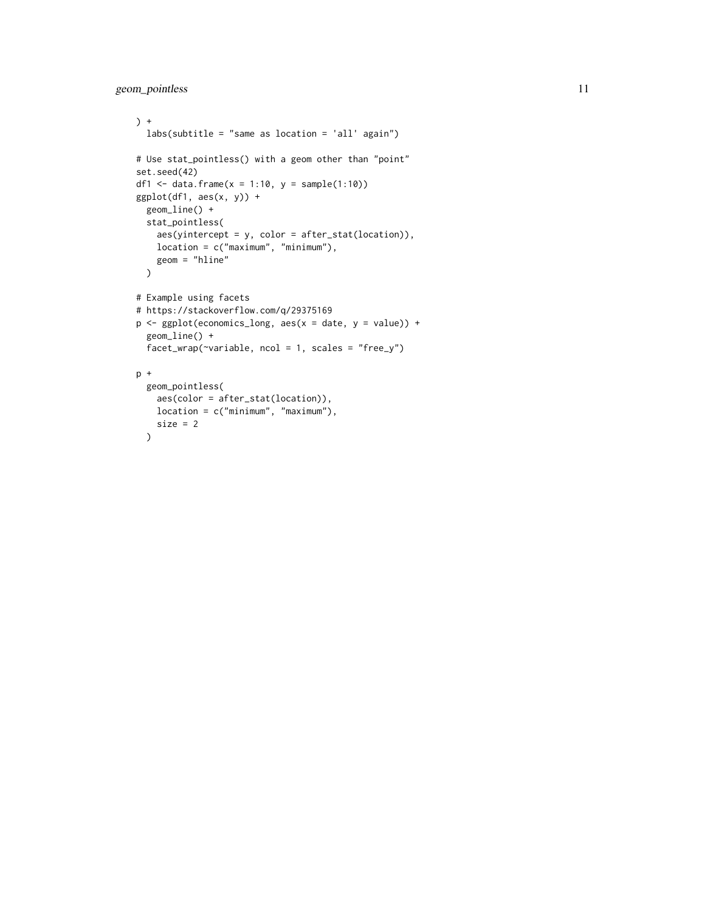```
) +
 labs(subtitle = "same as location = 'all' again")
# Use stat_pointless() with a geom other than "point"
set.seed(42)
df1 <- data.frame(x = 1:10, y = sample(1:10))
ggplot(df1, aes(x, y)) +geom_line() +
 stat_pointless(
   aes(yintercept = y, color = after_stat(location)),
   location = c("maximum", "minimum"),
   geom = "hline"
  \mathcal{L}# Example using facets
# https://stackoverflow.com/q/29375169
p <- ggplot(economics_long, aes(x = date, y = value)) +
 geom_line() +
  facet_wrap(\neg variable, ncol = 1, scales = "free_y")p +
  geom_pointless(
   aes(color = after_stat(location)),
   location = c("minimum", "maximum"),
   size = 2)
```